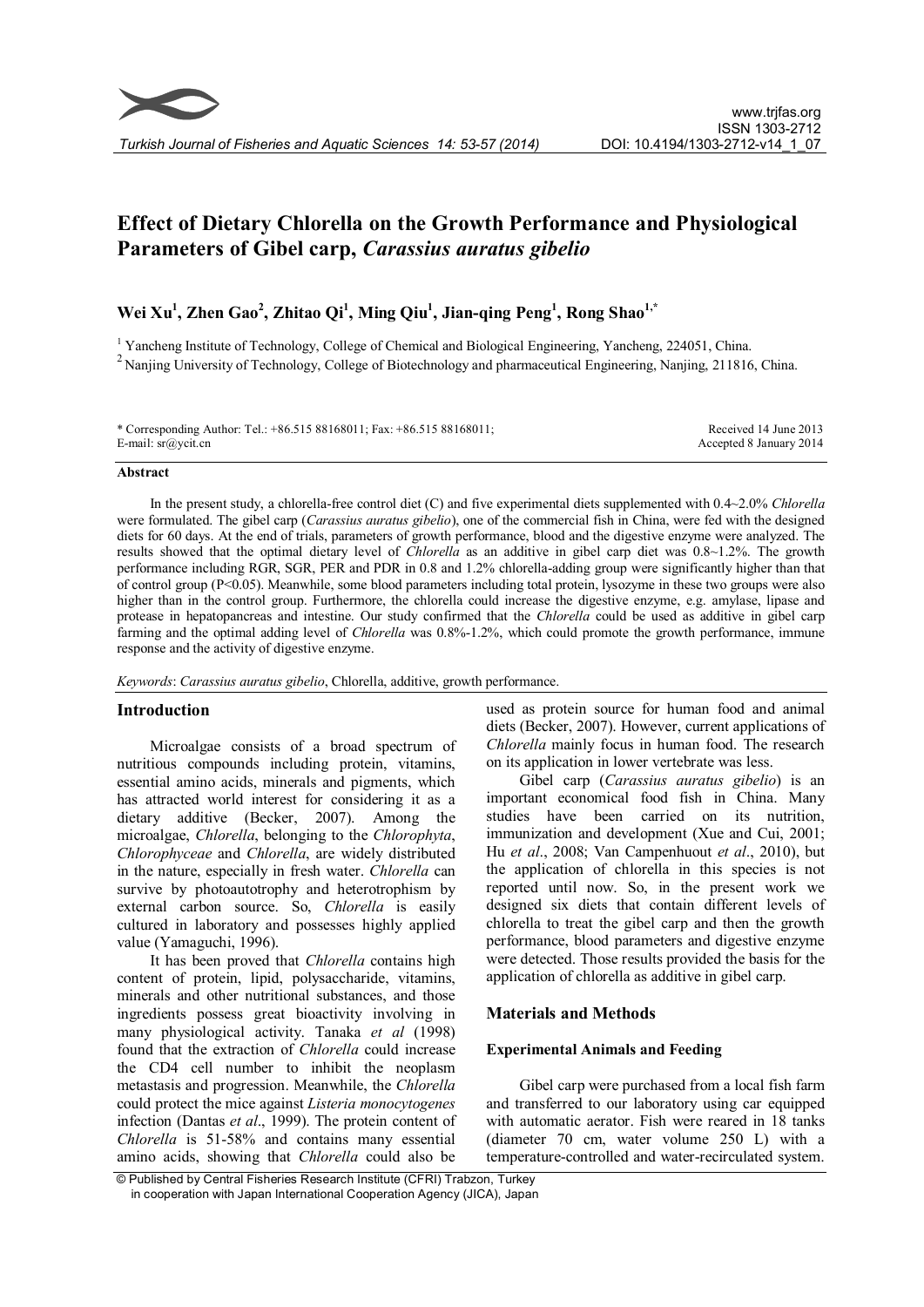# Effect of Dietary Chlorella on the Growth Performance and Physiological Parameters of Gibel carp, Carassius auratus gibelio

## Wei Xu<sup>1</sup>, Zhen Gao<sup>2</sup>, Zhitao Qi<sup>1</sup>, Ming Qiu<sup>1</sup>, Jian-qing Peng<sup>1</sup>, Rong Shao<sup>1,\*</sup>

<sup>1</sup> Yancheng Institute of Technology, College of Chemical and Biological Engineering, Yancheng, 224051, China.<br><sup>2</sup> Nanjing University of Technology, College of Biotechnology and pharmaceutical Engineering, Nanjing, 211816

\* Corresponding Author: Tel.: +86.515 88168011; Fax: +86.515 88168011; E-mail: sr@ycit.cn

Received 14 June 2013 Accepted 8 January 2014

#### Abstract

In the present study, a chlorella-free control diet (C) and five experimental diets supplemented with  $0.4 \sim 2.0\%$  Chlorella were formulated. The gibel carp (*Carassius auratus gibelio*), one of the commercial fish in China, were fed with the designed diets for 60 days. At the end of trials, parameters of growth performance, blood and the digestive enzyme were analyzed. The results showed that the optimal dietary level of Chlorella as an additive in gibel carp diet was 0.8~1.2%. The growth performance including RGR, SGR, PER and PDR in 0.8 and 1.2% chlorella-adding group were significantly higher than that of control group (P<0.05). Meanwhile, some blood parameters including total protein, lysozyme in these two groups were also higher than in the control group. Furthermore, the chlorella could increase the digestive enzyme, e.g. amylase, lipase and protease in hepatopancreas and intestine. Our study confirmed that the Chlorella could be used as additive in gibel carp farming and the optimal adding level of Chlorella was 0.8%-1.2%, which could promote the growth performance, immune response and the activity of digestive enzyme.

Keywords: Carassius auratus gibelio, Chlorella, additive, growth performance.

## Introduction

Microalgae consists of a broad spectrum of nutritious compounds including protein, vitamins, essential amino acids, minerals and pigments, which has attracted world interest for considering it as a dietary additive (Becker, 2007). Among the microalgae, Chlorella, belonging to the Chlorophyta, Chlorophyceae and Chlorella, are widely distributed in the nature, especially in fresh water. Chlorella can survive by photoautotrophy and heterotrophism by external carbon source. So, Chlorella is easily cultured in laboratory and possesses highly applied value (Yamaguchi, 1996).

It has been proved that Chlorella contains high content of protein, lipid, polysaccharide, vitamins, minerals and other nutritional substances, and those ingredients possess great bioactivity involving in many physiological activity. Tanaka et al (1998) found that the extraction of Chlorella could increase the CD4 cell number to inhibit the neoplasm metastasis and progression. Meanwhile, the Chlorella could protect the mice against Listeria monocytogenes infection (Dantas et al., 1999). The protein content of Chlorella is 51-58% and contains many essential amino acids, showing that Chlorella could also be

used as protein source for human food and animal diets (Becker, 2007). However, current applications of Chlorella mainly focus in human food. The research on its application in lower vertebrate was less.

Gibel carp (*Carassius auratus gibelio*) is an important economical food fish in China. Many studies have been carried on its nutrition. immunization and development (Xue and Cui, 2001; Hu et al., 2008; Van Campenhuout et al., 2010), but the application of chlorella in this species is not reported until now. So, in the present work we designed six diets that contain different levels of chlorella to treat the gibel carp and then the growth performance, blood parameters and digestive enzyme were detected. Those results provided the basis for the application of chlorella as additive in gibel carp.

## Materials and Methods

## Experimental Animals and Feeding

Gibel carp were purchased from a local fish farm and transferred to our laboratory using car equipped with automatic aerator. Fish were reared in 18 tanks (diameter 70 cm, water volume 250 L) with a temperature-controlled and water-recirculated system.

© Published by Central Fisheries Research Institute (CFRI) Trabzon, Turkey in cooperation with Japan International Cooperation Agency (JICA), Japan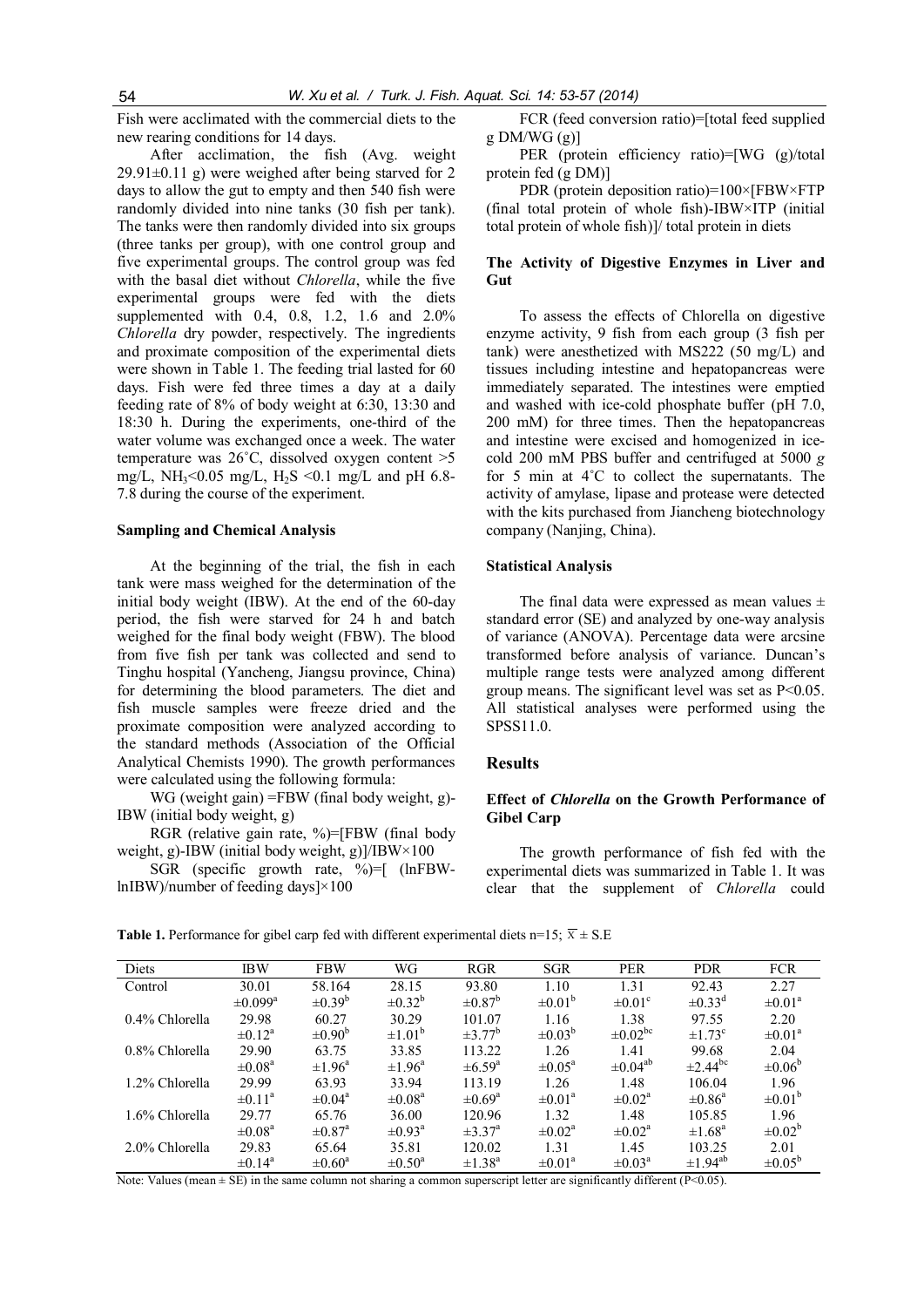Fish were acclimated with the commercial diets to the new rearing conditions for 14 days.

After acclimation, the fish (Avg. weight 29.91±0.11 g) were weighed after being starved for 2 days to allow the gut to empty and then 540 fish were randomly divided into nine tanks (30 fish per tank). The tanks were then randomly divided into six groups (three tanks per group), with one control group and five experimental groups. The control group was fed with the basal diet without Chlorella, while the five experimental groups were fed with the diets supplemented with 0.4, 0.8, 1.2, 1.6 and 2.0% Chlorella dry powder, respectively. The ingredients and proximate composition of the experimental diets were shown in Table 1. The feeding trial lasted for 60 days. Fish were fed three times a day at a daily feeding rate of 8% of body weight at 6:30, 13:30 and 18:30 h. During the experiments, one-third of the water volume was exchanged once a week. The water temperature was  $26^{\circ}$ C, dissolved oxygen content  $>5$ mg/L, NH<sub>3</sub><0.05 mg/L, H<sub>2</sub>S <0.1 mg/L and pH 6.8-7.8 during the course of the experiment.

#### Sampling and Chemical Analysis

At the beginning of the trial, the fish in each tank were mass weighed for the determination of the initial body weight (IBW). At the end of the 60-day period, the fish were starved for 24 h and batch weighed for the final body weight (FBW). The blood from five fish per tank was collected and send to Tinghu hospital (Yancheng, Jiangsu province, China) for determining the blood parameters. The diet and fish muscle samples were freeze dried and the proximate composition were analyzed according to the standard methods (Association of the Official Analytical Chemists 1990). The growth performances were calculated using the following formula:

WG (weight gain) =FBW (final body weight, g)- IBW (initial body weight, g)

RGR (relative gain rate, %)=[FBW (final body weight, g)-IBW (initial body weight, g)]/IBW×100

SGR (specific growth rate, %)=[ (lnFBWlnIBW)/number of feeding days]×100

FCR (feed conversion ratio)=[total feed supplied  $g$  DM/WG  $(g)$ ]

PER (protein efficiency ratio)=[WG (g)/total protein fed (g DM)]

PDR (protein deposition ratio)=100×[FBW×FTP (final total protein of whole fish)-IBW×ITP (initial total protein of whole fish)]/ total protein in diets

#### The Activity of Digestive Enzymes in Liver and **Gut**

To assess the effects of Chlorella on digestive enzyme activity, 9 fish from each group (3 fish per tank) were anesthetized with MS222 (50 mg/L) and tissues including intestine and hepatopancreas were immediately separated. The intestines were emptied and washed with ice-cold phosphate buffer (pH 7.0, 200 mM) for three times. Then the hepatopancreas and intestine were excised and homogenized in icecold 200 mM PBS buffer and centrifuged at 5000 g for 5 min at 4˚C to collect the supernatants. The activity of amylase, lipase and protease were detected with the kits purchased from Jiancheng biotechnology company (Nanjing, China).

#### Statistical Analysis

The final data were expressed as mean values  $\pm$ standard error (SE) and analyzed by one-way analysis of variance (ANOVA). Percentage data were arcsine transformed before analysis of variance. Duncan's multiple range tests were analyzed among different group means. The significant level was set as  $P<0.05$ . All statistical analyses were performed using the SPSS11.0.

#### **Results**

#### Effect of Chlorella on the Growth Performance of Gibel Carp

The growth performance of fish fed with the experimental diets was summarized in Table 1. It was clear that the supplement of Chlorella could

**Table 1.** Performance for gibel carp fed with different experimental diets n=15;  $\overline{x} \pm$  S.E

| Diets          | <b>IBW</b>              | <b>FBW</b>              | WG                      | <b>RGR</b>              | <b>SGR</b>              | <b>PER</b>              | <b>PDR</b>               | <b>FCR</b>              |
|----------------|-------------------------|-------------------------|-------------------------|-------------------------|-------------------------|-------------------------|--------------------------|-------------------------|
| Control        | 30.01                   | 58.164                  | 28.15                   | 93.80                   | 1.10                    | 1.31                    | 92.43                    | 2.27                    |
|                | $\pm 0.099^{\rm a}$     | $\pm 0.39^b$            | $\pm 0.32^b$            | $\pm 0.87^{\rm b}$      | $\pm 0.01^{\circ}$      | $\pm 0.01$ °            | $\pm 0.33^{\text{d}}$    | $\pm 0.01$ <sup>a</sup> |
| 0.4% Chlorella | 29.98                   | 60.27                   | 30.29                   | 101 07                  | 1.16                    | 1.38                    | 97.55                    | 2.20                    |
|                | $\pm 0.12^{\rm a}$      | $\pm 0.90^{\circ}$      | $\pm 1.01^{\circ}$      | $\pm$ 3.77 <sup>b</sup> | $\pm 0.03^{b}$          | $\pm 0.02^{\rm bc}$     | $\pm$ 173 <sup>c</sup>   | $\pm 0.01^{\circ}$      |
| 0.8% Chlorella | 29.90                   | 63.75                   | 33.85                   | 113 22                  | 1.26                    | 1.41                    | 99.68                    | 2.04                    |
|                | $\pm 0.08$ <sup>a</sup> | $\pm 1.96^{\circ}$      | $\pm 1.96^{\circ}$      | $\pm 6.59$ <sup>a</sup> | $\pm 0.05^{\text{a}}$   | $\pm 0.04^{ab}$         | $\pm$ 2.44 <sup>bc</sup> | $\pm 0.06^{\circ}$      |
| 1.2% Chlorella | 29.99                   | 63.93                   | 33 94                   | 113 19                  | 1.26                    | 1.48                    | 106.04                   | 1.96                    |
|                | $\pm 0$ 11 <sup>a</sup> | $\pm 0.04$ <sup>a</sup> | $\pm 0.08$ <sup>a</sup> | $\pm 0.69$ <sup>a</sup> | $\pm 0.01$ <sup>a</sup> | $\pm 0.02$ <sup>a</sup> | $\pm 0.86^\text{a}$      | $\pm 0.01^{\circ}$      |
| 1.6% Chlorella | 29 77                   | 65.76                   | 36.00                   | 120.96                  | 1.32                    | 1.48                    | 105.85                   | 1.96                    |
|                | $\pm 0.08$ <sup>a</sup> | $\pm 0.87$ <sup>a</sup> | $\pm 0.93$ <sup>a</sup> | $\pm$ 37 <sup>a</sup>   | $\pm 0.02$ <sup>a</sup> | $\pm 0.02$ <sup>a</sup> | $\pm 1.68$ <sup>a</sup>  | $\pm 0.02^b$            |
| 2.0% Chlorella | 29.83                   | 65.64                   | 35.81                   | 120.02                  | 1 3 1                   | 145                     | 103.25                   | 2.01                    |
|                | $\pm 0.14^{\rm a}$      | $\pm 0.60^{\circ}$      | $\pm 0.50^{\circ}$      | $\pm$ 1 38 <sup>a</sup> | $\pm 0.01$ <sup>a</sup> | $\pm 0.03$ <sup>a</sup> | $\pm$ 1.94 <sup>ab</sup> | $\pm 0.05^{\rm b}$      |

Note: Values (mean  $\pm$  SE) in the same column not sharing a common superscript letter are significantly different (P<0.05).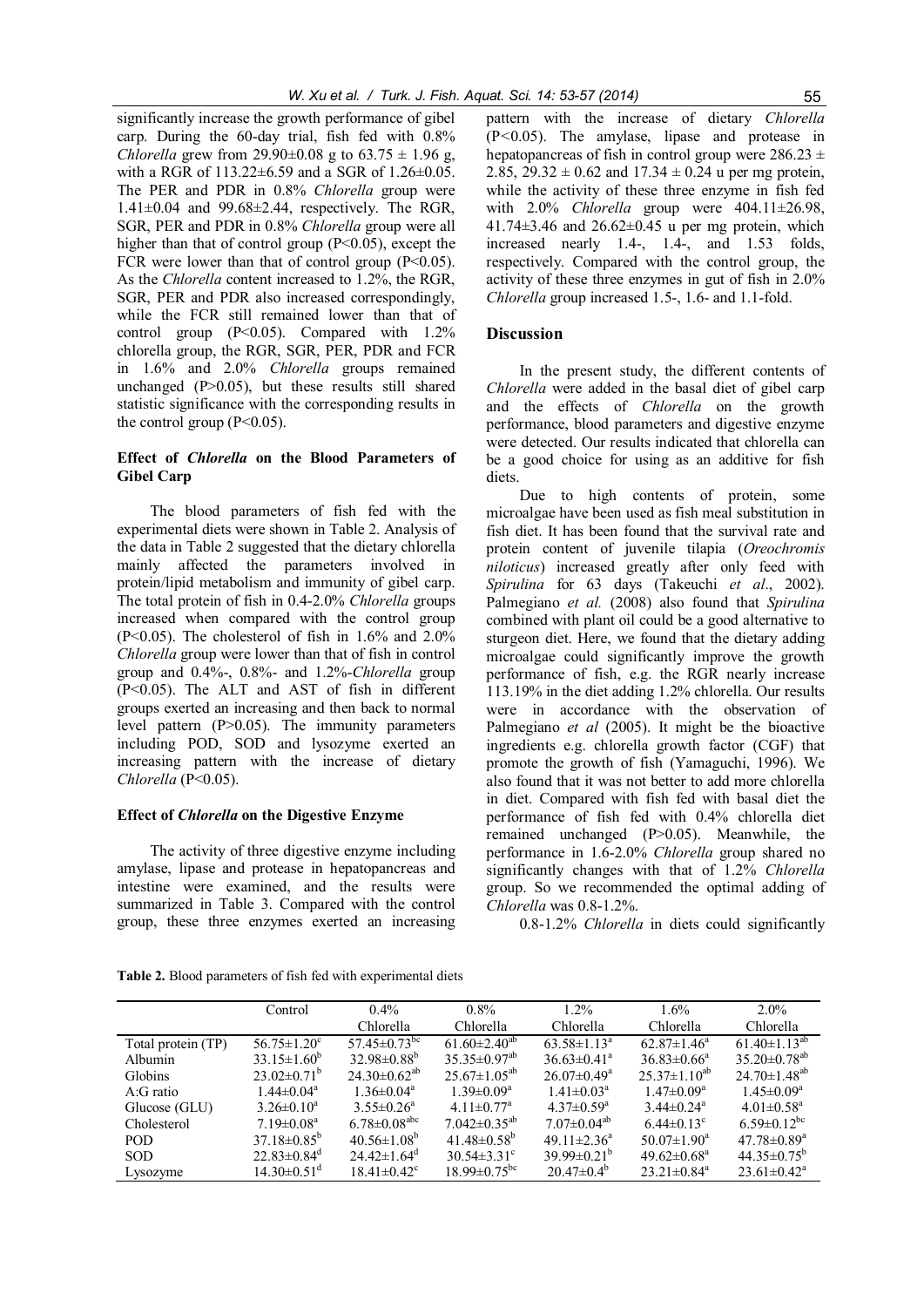significantly increase the growth performance of gibel carp. During the 60-day trial, fish fed with 0.8% Chlorella grew from 29.90 $\pm$ 0.08 g to 63.75  $\pm$  1.96 g, with a RGR of 113.22±6.59 and a SGR of 1.26±0.05. The PER and PDR in 0.8% Chlorella group were  $1.41\pm0.04$  and  $99.68\pm2.44$ , respectively. The RGR, SGR, PER and PDR in 0.8% Chlorella group were all higher than that of control group  $(P<0.05)$ , except the FCR were lower than that of control group  $(P<0.05)$ . As the Chlorella content increased to 1.2%, the RGR, SGR, PER and PDR also increased correspondingly, while the FCR still remained lower than that of control group  $(P<0.05)$ . Compared with  $1.2\%$ chlorella group, the RGR, SGR, PER, PDR and FCR in 1.6% and 2.0% Chlorella groups remained unchanged  $(P>0.05)$ , but these results still shared statistic significance with the corresponding results in the control group  $(P<0.05)$ .

## Effect of Chlorella on the Blood Parameters of Gibel Carp

The blood parameters of fish fed with the experimental diets were shown in Table 2. Analysis of the data in Table 2 suggested that the dietary chlorella mainly affected the parameters involved in protein/lipid metabolism and immunity of gibel carp. The total protein of fish in 0.4-2.0% Chlorella groups increased when compared with the control group  $(P<0.05)$ . The cholesterol of fish in 1.6% and 2.0% Chlorella group were lower than that of fish in control group and 0.4%-, 0.8%- and 1.2%-Chlorella group (P<0.05). The ALT and AST of fish in different groups exerted an increasing and then back to normal level pattern (P>0.05). The immunity parameters including POD, SOD and lysozyme exerted an increasing pattern with the increase of dietary Chlorella (P<0.05).

#### Effect of Chlorella on the Digestive Enzyme

The activity of three digestive enzyme including amylase, lipase and protease in hepatopancreas and intestine were examined, and the results were summarized in Table 3. Compared with the control group, these three enzymes exerted an increasing

pattern with the increase of dietary Chlorella (P<0.05). The amylase, lipase and protease in hepatopancreas of fish in control group were  $286.23 \pm$ 2.85,  $29.32 \pm 0.62$  and  $17.34 \pm 0.24$  u per mg protein, while the activity of these three enzyme in fish fed with  $2.0\%$  Chlorella group were  $404.11\pm26.98$ , 41.74 $\pm$ 3.46 and 26.62 $\pm$ 0.45 u per mg protein, which increased nearly 1.4-, 1.4-, and 1.53 folds, respectively. Compared with the control group, the activity of these three enzymes in gut of fish in 2.0% Chlorella group increased 1.5-, 1.6- and 1.1-fold.

#### **Discussion**

In the present study, the different contents of Chlorella were added in the basal diet of gibel carp and the effects of Chlorella on the growth performance, blood parameters and digestive enzyme were detected. Our results indicated that chlorella can be a good choice for using as an additive for fish diets.

Due to high contents of protein, some microalgae have been used as fish meal substitution in fish diet. It has been found that the survival rate and protein content of juvenile tilapia (Oreochromis niloticus) increased greatly after only feed with Spirulina for 63 days (Takeuchi et al., 2002). Palmegiano et al. (2008) also found that Spirulina combined with plant oil could be a good alternative to sturgeon diet. Here, we found that the dietary adding microalgae could significantly improve the growth performance of fish, e.g. the RGR nearly increase 113.19% in the diet adding 1.2% chlorella. Our results were in accordance with the observation of Palmegiano *et al* (2005). It might be the bioactive ingredients e.g. chlorella growth factor (CGF) that promote the growth of fish (Yamaguchi, 1996). We also found that it was not better to add more chlorella in diet. Compared with fish fed with basal diet the performance of fish fed with 0.4% chlorella diet remained unchanged (P>0.05). Meanwhile, the performance in 1.6-2.0% Chlorella group shared no significantly changes with that of 1.2% Chlorella group. So we recommended the optimal adding of Chlorella was 0.8-1.2%.

0.8-1.2% Chlorella in diets could significantly

Table 2. Blood parameters of fish fed with experimental diets

|                    | Control                       | $0.4\%$                        | $0.8\%$                        | $1.2\%$                       | 1.6%                          | $2.0\%$                        |
|--------------------|-------------------------------|--------------------------------|--------------------------------|-------------------------------|-------------------------------|--------------------------------|
|                    |                               | Chlorella                      | Chlorella                      | Chlorella                     | Chlorella                     | Chlorella                      |
| Total protein (TP) | $56.75 \pm 1.20^c$            | 57.45 $\pm$ 0.73 <sup>bc</sup> | 61.60 $\pm$ 2.40 <sup>ab</sup> | $63.58 \pm 1.13^a$            | $62.87 \pm 1.46^a$            | $61.40 \pm 1.13^{ab}$          |
| Albumin            | $33.15 \pm 1.60^b$            | $32.98 \pm 0.88^b$             | $35.35 \pm 0.97^{ab}$          | $36.63 \pm 0.41^{\circ}$      | $36.83\pm0.66^a$              | $35.20 \pm 0.78$ <sup>ab</sup> |
| <b>Globins</b>     | $23.02\pm0.71^{\rm b}$        | $24.30\pm0.62^{ab}$            | $25.67 \pm 1.05^{ab}$          | $26.07 \pm 0.49$ <sup>a</sup> | $25.37 \pm 1.10^{ab}$         | $24.70 \pm 1.48^{ab}$          |
| $A:G$ ratio        | $1.44 \pm 0.04$ <sup>a</sup>  | $1.36 \pm 0.04^a$              | $1.39 \pm 0.09^a$              | $1.41 \pm 0.03^{\text{a}}$    | $1.47 \pm 0.09^a$             | $1.45 \pm 0.09^a$              |
| Glucose (GLU)      | $3.26 \pm 0.10^a$             | $3.55 \pm 0.26^a$              | 4.11 $\pm$ 0.77 <sup>a</sup>   | $4.37 \pm 0.59$ <sup>a</sup>  | $3.44 \pm 0.24$ <sup>a</sup>  | $4.01 \pm 0.58$ <sup>a</sup>   |
| Cholesterol        | $7.19 \pm 0.08$ <sup>a</sup>  | $6.78 \pm 0.08$ <sup>abc</sup> | 7.042 $\pm$ 0.35 <sup>ab</sup> | $7.07\pm0.04^{ab}$            | $6.44 \pm 0.13$ <sup>c</sup>  | 6.59 $\pm$ 0.12 <sup>bc</sup>  |
| POD.               | $37.18 \pm 0.85^b$            | $40.56 \pm 1.08^b$             | $41.48 \pm 0.58$ <sup>b</sup>  | 49.11 $\pm$ 2.36 <sup>a</sup> | $50.07 \pm 1.90^{\circ}$      | $47.78 \pm 0.89$ <sup>a</sup>  |
| <b>SOD</b>         | $22.83 \pm 0.84$ <sup>d</sup> | $24.42 \pm 1.64$ <sup>d</sup>  | $30.54 \pm 3.31$ °             | 39 99 $\pm$ 0 21 <sup>b</sup> | $49.62 \pm 0.68^a$            | 44.35 $\pm$ 0.75 <sup>b</sup>  |
| Lysozyme           | $14.30\pm0.51$ <sup>d</sup>   | $18.41 \pm 0.42$ <sup>c</sup>  | $18.99 \pm 0.75$ <sup>bc</sup> | $20.47\pm0.4^{b}$             | $23.21 \pm 0.84$ <sup>a</sup> | $23.61 \pm 0.42^a$             |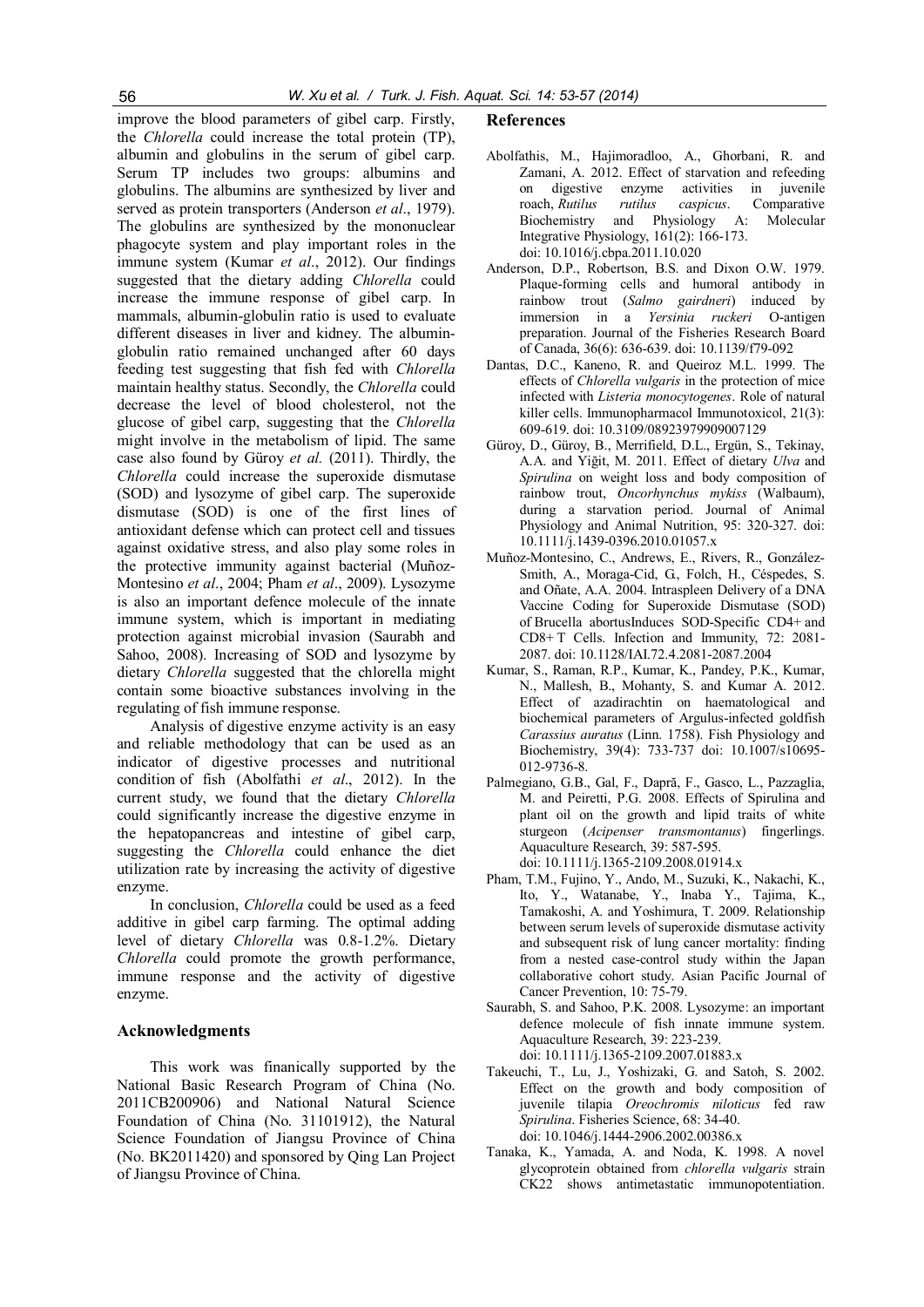improve the blood parameters of gibel carp. Firstly, the Chlorella could increase the total protein (TP), albumin and globulins in the serum of gibel carp. Serum TP includes two groups: albumins and globulins. The albumins are synthesized by liver and served as protein transporters (Anderson *et al.*, 1979). The globulins are synthesized by the mononuclear phagocyte system and play important roles in the immune system (Kumar et al., 2012). Our findings suggested that the dietary adding Chlorella could increase the immune response of gibel carp. In mammals, albumin-globulin ratio is used to evaluate different diseases in liver and kidney. The albuminglobulin ratio remained unchanged after 60 days feeding test suggesting that fish fed with Chlorella maintain healthy status. Secondly, the Chlorella could decrease the level of blood cholesterol, not the glucose of gibel carp, suggesting that the Chlorella might involve in the metabolism of lipid. The same case also found by Güroy et al. (2011). Thirdly, the Chlorella could increase the superoxide dismutase (SOD) and lysozyme of gibel carp. The superoxide dismutase (SOD) is one of the first lines of antioxidant defense which can protect cell and tissues against oxidative stress, and also play some roles in the protective immunity against bacterial (Muñoz-Montesino et al., 2004; Pham et al., 2009). Lysozyme is also an important defence molecule of the innate immune system, which is important in mediating protection against microbial invasion (Saurabh and Sahoo, 2008). Increasing of SOD and lysozyme by dietary Chlorella suggested that the chlorella might contain some bioactive substances involving in the regulating of fish immune response.

Analysis of digestive enzyme activity is an easy and reliable methodology that can be used as an indicator of digestive processes and nutritional condition of fish (Abolfathi et al., 2012). In the current study, we found that the dietary Chlorella could significantly increase the digestive enzyme in the hepatopancreas and intestine of gibel carp, suggesting the Chlorella could enhance the diet utilization rate by increasing the activity of digestive enzyme.

In conclusion, Chlorella could be used as a feed additive in gibel carp farming. The optimal adding level of dietary Chlorella was 0.8-1.2%. Dietary Chlorella could promote the growth performance, immune response and the activity of digestive enzyme.

#### Acknowledgments

This work was finanically supported by the National Basic Research Program of China (No. 2011CB200906) and National Natural Science Foundation of China (No. 31101912), the Natural Science Foundation of Jiangsu Province of China (No. BK2011420) and sponsored by Qing Lan Project of Jiangsu Province of China.

#### References

- Abolfathis, M., Hajimoradloo, A., Ghorbani, R. and Zamani, A. 2012. Effect of starvation and refeeding on digestive enzyme activities in juvenile roach, Rutilus rutilus caspicus. Comparative Biochemistry and Physiology A: Molecular Integrative Physiology, 161(2): 166-173. doi: 10.1016/j.cbpa.2011.10.020
- Anderson, D.P., Robertson, B.S. and Dixon O.W. 1979. Plaque-forming cells and humoral antibody in rainbow trout (Salmo gairdneri) induced by immersion in a Yersinia ruckeri O-antigen preparation. Journal of the Fisheries Research Board of Canada, 36(6): 636-639. doi: 10.1139/f79-092
- Dantas, D.C., Kaneno, R. and Queiroz M.L. 1999. The effects of Chlorella vulgaris in the protection of mice infected with Listeria monocytogenes. Role of natural killer cells. Immunopharmacol Immunotoxicol, 21(3): 609-619. doi: 10.3109/08923979909007129
- Güroy, D., Güroy, B., Merrifield, D.L., Ergün, S., Tekinay, A.A. and Yiğit, M. 2011. Effect of dietary Ulva and Spirulina on weight loss and body composition of rainbow trout, Oncorhynchus mykiss (Walbaum), during a starvation period. Journal of Animal Physiology and Animal Nutrition, 95: 320-327. doi: 10.1111/j.1439-0396.2010.01057.x
- Muñoz-Montesino, C., Andrews, E., Rivers, R., González-Smith, A., Moraga-Cid, G., Folch, H., Céspedes, S. and Oñate, A.A. 2004. Intraspleen Delivery of a DNA Vaccine Coding for Superoxide Dismutase (SOD) of Brucella abortusInduces SOD-Specific CD4+ and CD8+ T Cells. Infection and Immunity, 72: 2081- 2087. doi: 10.1128/IAI.72.4.2081-2087.2004
- Kumar, S., Raman, R.P., Kumar, K., Pandey, P.K., Kumar, N., Mallesh, B., Mohanty, S. and Kumar A. 2012. Effect of azadirachtin on haematological and biochemical parameters of Argulus-infected goldfish Carassius auratus (Linn. 1758). Fish Physiology and Biochemistry, 39(4): 733-737 doi: 10.1007/s10695- 012-9736-8.
- Palmegiano, G.B., Gal, F., Dapră, F., Gasco, L., Pazzaglia, M. and Peiretti, P.G. 2008. Effects of Spirulina and plant oil on the growth and lipid traits of white sturgeon (Acipenser transmontanus) fingerlings. Aquaculture Research, 39: 587-595. doi: 10.1111/j.1365-2109.2008.01914.x
- Pham, T.M., Fujino, Y., Ando, M., Suzuki, K., Nakachi, K., Ito, Y., Watanabe, Y., Inaba Y., Tajima, K., Tamakoshi, A. and Yoshimura, T. 2009. Relationship between serum levels of superoxide dismutase activity and subsequent risk of lung cancer mortality: finding from a nested case-control study within the Japan collaborative cohort study. Asian Pacific Journal of Cancer Prevention, 10: 75-79.
- Saurabh, S. and Sahoo, P.K. 2008. Lysozyme: an important defence molecule of fish innate immune system. Aquaculture Research, 39: 223-239. doi: 10.1111/j.1365-2109.2007.01883.x
- Takeuchi, T., Lu, J., Yoshizaki, G. and Satoh, S. 2002. Effect on the growth and body composition of juvenile tilapia Oreochromis niloticus fed raw Spirulina. Fisheries Science, 68: 34-40. doi: 10.1046/j.1444-2906.2002.00386.x
- Tanaka, K., Yamada, A. and Noda, K. 1998. A novel glycoprotein obtained from chlorella vulgaris strain CK22 shows antimetastatic immunopotentiation.